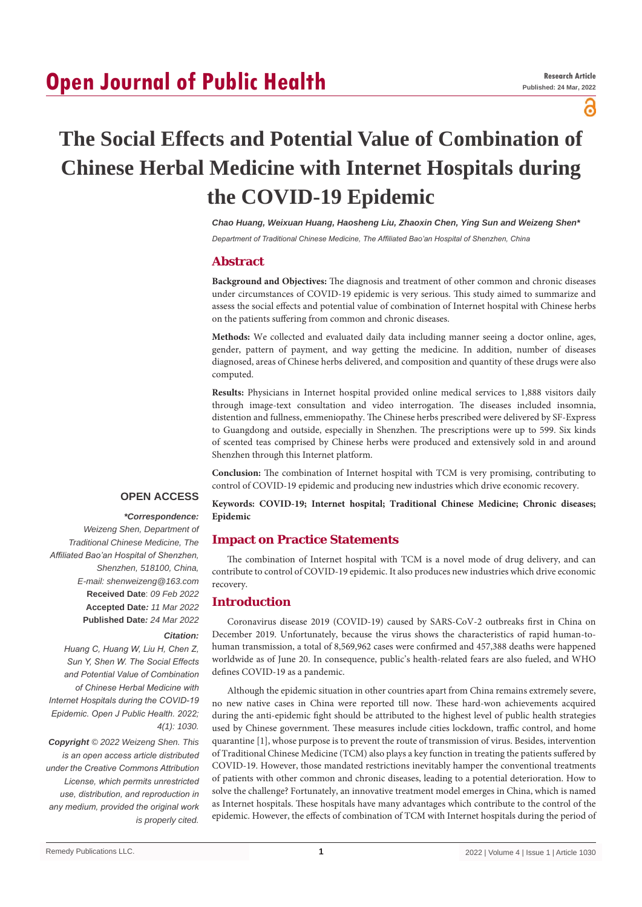# **Open Journal of Public Health**

a

# **The Social Effects and Potential Value of Combination of Chinese Herbal Medicine with Internet Hospitals during the COVID-19 Epidemic**

*Chao Huang, Weixuan Huang, Haosheng Liu, Zhaoxin Chen, Ying Sun and Weizeng Shen\**

*Department of Traditional Chinese Medicine, The Affiliated Bao'an Hospital of Shenzhen, China*

## **Abstract**

**Background and Objectives:** The diagnosis and treatment of other common and chronic diseases under circumstances of COVID-19 epidemic is very serious. This study aimed to summarize and assess the social effects and potential value of combination of Internet hospital with Chinese herbs on the patients suffering from common and chronic diseases.

**Methods:** We collected and evaluated daily data including manner seeing a doctor online, ages, gender, pattern of payment, and way getting the medicine. In addition, number of diseases diagnosed, areas of Chinese herbs delivered, and composition and quantity of these drugs were also computed.

**Results:** Physicians in Internet hospital provided online medical services to 1,888 visitors daily through image-text consultation and video interrogation. The diseases included insomnia, distention and fullness, emmeniopathy. The Chinese herbs prescribed were delivered by SF-Express to Guangdong and outside, especially in Shenzhen. The prescriptions were up to 599. Six kinds of scented teas comprised by Chinese herbs were produced and extensively sold in and around Shenzhen through this Internet platform.

**Conclusion:** The combination of Internet hospital with TCM is very promising, contributing to control of COVID-19 epidemic and producing new industries which drive economic recovery.

## **OPEN ACCESS**

## *\*Correspondence:*

*Weizeng Shen, Department of Traditional Chinese Medicine, The Affiliated Bao'an Hospital of Shenzhen, Shenzhen, 518100, China, E-mail: shenweizeng@163.com* **Received Date**: *09 Feb 2022* **Accepted Date***: 11 Mar 2022* **Published Date***: 24 Mar 2022*

#### *Citation:*

*Huang C, Huang W, Liu H, Chen Z, Sun Y, Shen W. The Social Effects and Potential Value of Combination of Chinese Herbal Medicine with Internet Hospitals during the COVID-19 Epidemic. Open J Public Health. 2022; 4(1): 1030.*

*Copyright © 2022 Weizeng Shen. This is an open access article distributed under the Creative Commons Attribution License, which permits unrestricted use, distribution, and reproduction in any medium, provided the original work is properly cited.*

**Keywords: COVID-19; Internet hospital; Traditional Chinese Medicine; Chronic diseases; Epidemic**

# **Impact on Practice Statements**

The combination of Internet hospital with TCM is a novel mode of drug delivery, and can contribute to control of COVID-19 epidemic. It also produces new industries which drive economic recovery.

## **Introduction**

Coronavirus disease 2019 (COVID-19) caused by SARS-CoV-2 outbreaks first in China on December 2019. Unfortunately, because the virus shows the characteristics of rapid human-tohuman transmission, a total of 8,569,962 cases were confirmed and 457,388 deaths were happened worldwide as of June 20. In consequence, public's health-related fears are also fueled, and WHO defines COVID-19 as a pandemic.

Although the epidemic situation in other countries apart from China remains extremely severe, no new native cases in China were reported till now. These hard-won achievements acquired during the anti-epidemic fight should be attributed to the highest level of public health strategies used by Chinese government. These measures include cities lockdown, traffic control, and home quarantine [1], whose purpose is to prevent the route of transmission of virus. Besides, intervention of Traditional Chinese Medicine (TCM) also plays a key function in treating the patients suffered by COVID-19. However, those mandated restrictions inevitably hamper the conventional treatments of patients with other common and chronic diseases, leading to a potential deterioration. How to solve the challenge? Fortunately, an innovative treatment model emerges in China, which is named as Internet hospitals. These hospitals have many advantages which contribute to the control of the epidemic. However, the effects of combination of TCM with Internet hospitals during the period of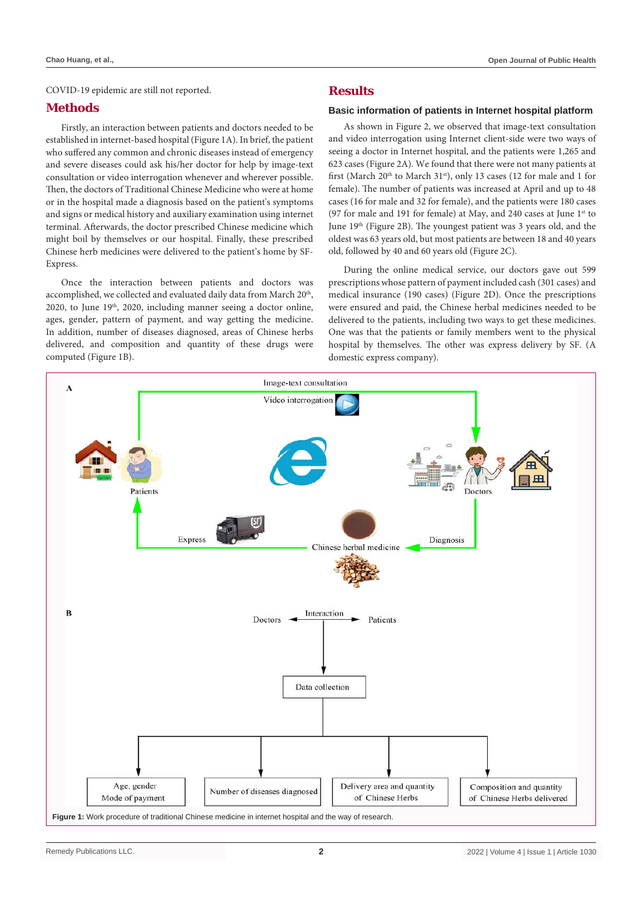COVID-19 epidemic are still not reported.

## **Methods**

Firstly, an interaction between patients and doctors needed to be established in internet-based hospital (Figure 1A). In brief, the patient who suffered any common and chronic diseases instead of emergency and severe diseases could ask his/her doctor for help by image-text consultation or video interrogation whenever and wherever possible. Then, the doctors of Traditional Chinese Medicine who were at home or in the hospital made a diagnosis based on the patient's symptoms and signs or medical history and auxiliary examination using internet terminal. Afterwards, the doctor prescribed Chinese medicine which might boil by themselves or our hospital. Finally, these prescribed Chinese herb medicines were delivered to the patient's home by SF-Express.

Once the interaction between patients and doctors was accomplished, we collected and evaluated daily data from March 20<sup>th</sup>, 2020, to June 19th, 2020, including manner seeing a doctor online, ages, gender, pattern of payment, and way getting the medicine. In addition, number of diseases diagnosed, areas of Chinese herbs delivered, and composition and quantity of these drugs were computed (Figure 1B).

# **Results**

#### **Basic information of patients in Internet hospital platform**

As shown in Figure 2, we observed that image-text consultation and video interrogation using Internet client-side were two ways of seeing a doctor in Internet hospital, and the patients were 1,265 and 623 cases (Figure 2A). We found that there were not many patients at first (March  $20^{th}$  to March  $31^{st}$ ), only 13 cases (12 for male and 1 for female). The number of patients was increased at April and up to 48 cases (16 for male and 32 for female), and the patients were 180 cases (97 for male and 191 for female) at May, and 240 cases at June  $1<sup>st</sup>$  to June 19th (Figure 2B). The youngest patient was 3 years old, and the oldest was 63 years old, but most patients are between 18 and 40 years old, followed by 40 and 60 years old (Figure 2C).

During the online medical service, our doctors gave out 599 prescriptions whose pattern of payment included cash (301 cases) and medical insurance (190 cases) (Figure 2D). Once the prescriptions were ensured and paid, the Chinese herbal medicines needed to be delivered to the patients, including two ways to get these medicines. One was that the patients or family members went to the physical hospital by themselves. The other was express delivery by SF. (A domestic express company).

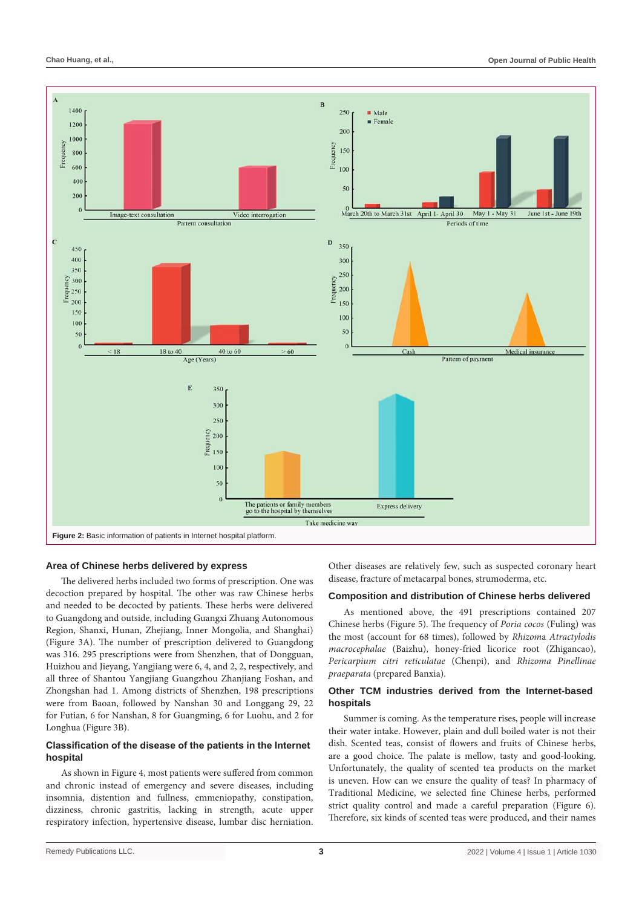

#### **Area of Chinese herbs delivered by express**

The delivered herbs included two forms of prescription. One was decoction prepared by hospital. The other was raw Chinese herbs and needed to be decocted by patients. These herbs were delivered to Guangdong and outside, including Guangxi Zhuang Autonomous Region, Shanxi, Hunan, Zhejiang, Inner Mongolia, and Shanghai) (Figure 3A). The number of prescription delivered to Guangdong was 316. 295 prescriptions were from Shenzhen, that of Dongguan, Huizhou and Jieyang, Yangjiang were 6, 4, and 2, 2, respectively, and all three of Shantou Yangjiang Guangzhou Zhanjiang Foshan, and Zhongshan had 1. Among districts of Shenzhen, 198 prescriptions were from Baoan, followed by Nanshan 30 and Longgang 29, 22 for Futian, 6 for Nanshan, 8 for Guangming, 6 for Luohu, and 2 for Longhua (Figure 3B).

#### **Classification of the disease of the patients in the Internet hospital**

As shown in Figure 4, most patients were suffered from common and chronic instead of emergency and severe diseases, including insomnia, distention and fullness, emmeniopathy, constipation, dizziness, chronic gastritis, lacking in strength, acute upper respiratory infection, hypertensive disease, lumbar disc herniation. Other diseases are relatively few, such as suspected coronary heart disease, fracture of metacarpal bones, strumoderma, etc.

## **Composition and distribution of Chinese herbs delivered**

As mentioned above, the 491 prescriptions contained 207 Chinese herbs (Figure 5). The frequency of *Poria cocos* (Fuling) was the most (account for 68 times), followed by *Rhizom*a *Atractylodis macrocephalae* (Baizhu), honey-fried licorice root (Zhigancao), *Pericarpium citri reticulatae* (Chenpi), and *Rhizoma Pinellinae praeparata* (prepared Banxia).

#### **Other TCM industries derived from the Internet-based hospitals**

Summer is coming. As the temperature rises, people will increase their water intake. However, plain and dull boiled water is not their dish. Scented teas, consist of flowers and fruits of Chinese herbs, are a good choice. The palate is mellow, tasty and good-looking. Unfortunately, the quality of scented tea products on the market is uneven. How can we ensure the quality of teas? In pharmacy of Traditional Medicine, we selected fine Chinese herbs, performed strict quality control and made a careful preparation (Figure 6). Therefore, six kinds of scented teas were produced, and their names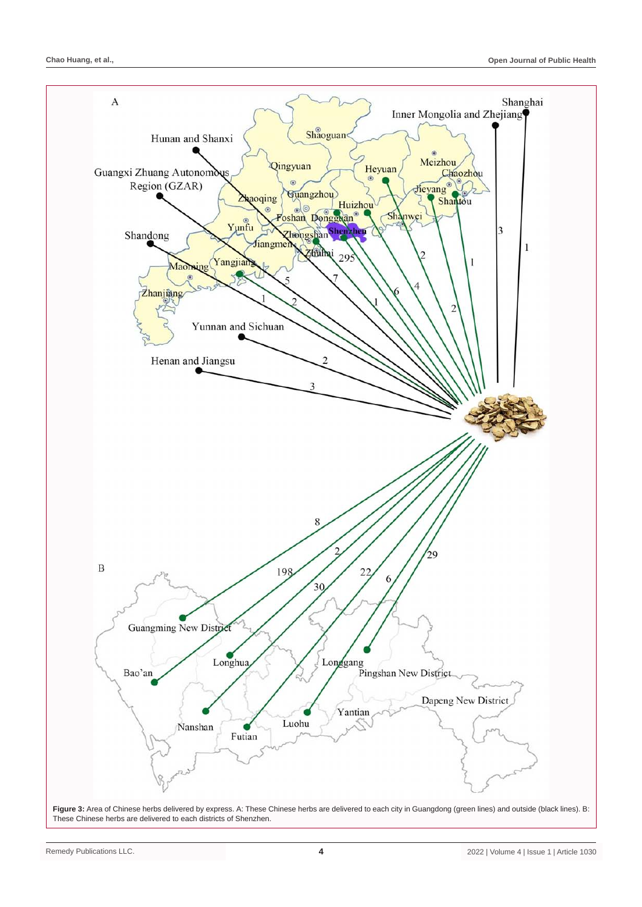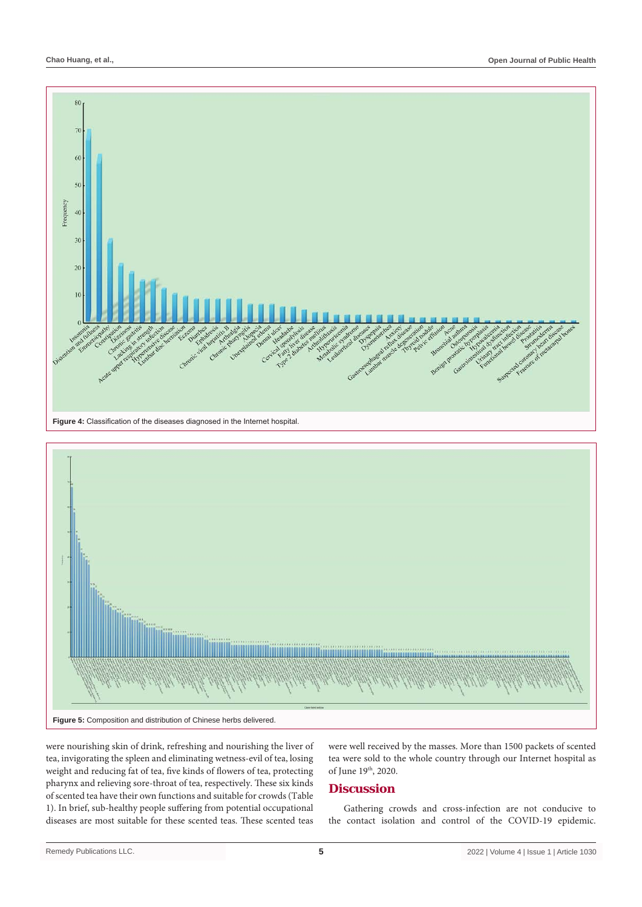



were nourishing skin of drink, refreshing and nourishing the liver of tea, invigorating the spleen and eliminating wetness-evil of tea, losing weight and reducing fat of tea, five kinds of flowers of tea, protecting pharynx and relieving sore-throat of tea, respectively. These six kinds of scented tea have their own functions and suitable for crowds (Table 1). In brief, sub-healthy people suffering from potential occupational diseases are most suitable for these scented teas. These scented teas

were well received by the masses. More than 1500 packets of scented tea were sold to the whole country through our Internet hospital as of June 19th, 2020.

## **Discussion**

Gathering crowds and cross-infection are not conducive to the contact isolation and control of the COVID-19 epidemic.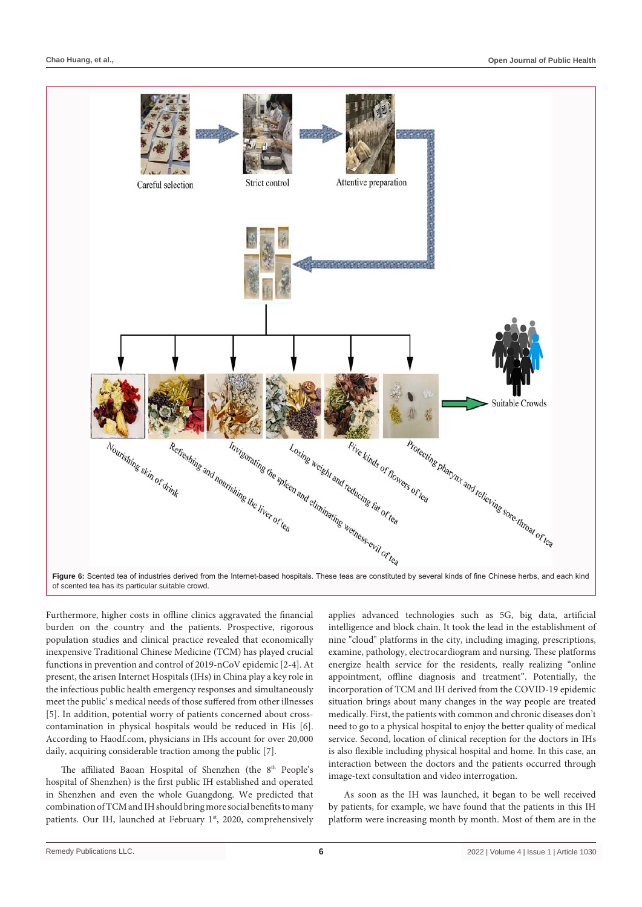

Furthermore, higher costs in offline clinics aggravated the financial burden on the country and the patients. Prospective, rigorous population studies and clinical practice revealed that economically inexpensive Traditional Chinese Medicine (TCM) has played crucial functions in prevention and control of 2019-nCoV epidemic [2-4]. At present, the arisen Internet Hospitals (IHs) in China play a key role in the infectious public health emergency responses and simultaneously meet the public' s medical needs of those suffered from other illnesses [5]. In addition, potential worry of patients concerned about crosscontamination in physical hospitals would be reduced in His [6]. According to Haodf.com, physicians in IHs account for over 20,000 daily, acquiring considerable traction among the public [7].

The affiliated Baoan Hospital of Shenzhen (the 8<sup>th</sup> People's hospital of Shenzhen) is the first public IH established and operated in Shenzhen and even the whole Guangdong. We predicted that combination of TCM and IH should bring more social benefits to many patients. Our IH, launched at February 1st, 2020, comprehensively

applies advanced technologies such as 5G, big data, artificial intelligence and block chain. It took the lead in the establishment of nine "cloud" platforms in the city, including imaging, prescriptions, examine, pathology, electrocardiogram and nursing. These platforms energize health service for the residents, really realizing "online appointment, offline diagnosis and treatment". Potentially, the incorporation of TCM and IH derived from the COVID-19 epidemic situation brings about many changes in the way people are treated medically. First, the patients with common and chronic diseases don't need to go to a physical hospital to enjoy the better quality of medical service. Second, location of clinical reception for the doctors in IHs is also flexible including physical hospital and home. In this case, an interaction between the doctors and the patients occurred through image-text consultation and video interrogation.

As soon as the IH was launched, it began to be well received by patients, for example, we have found that the patients in this IH platform were increasing month by month. Most of them are in the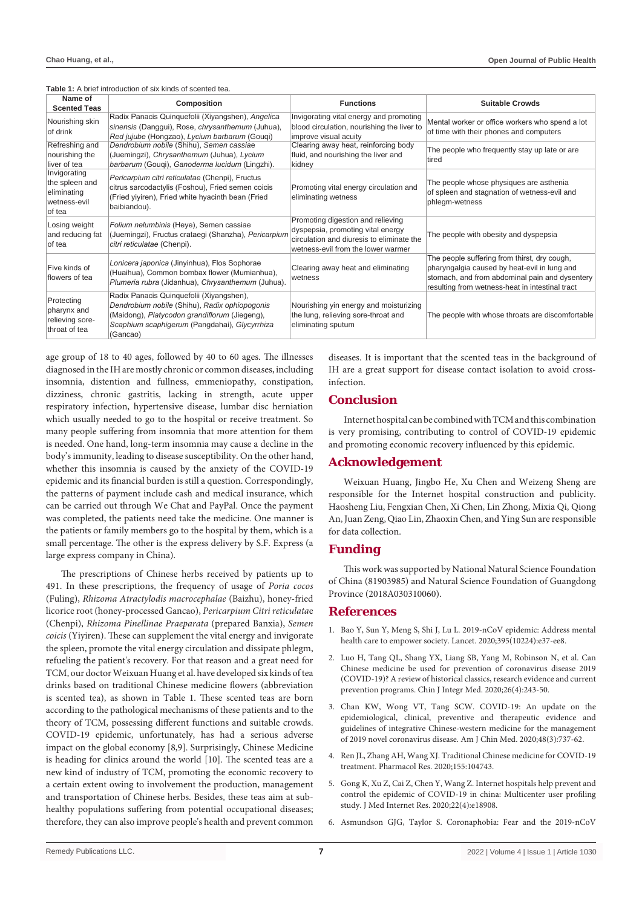**Table 1:** A brief introduction of six kinds of scented tea.

| Name of<br><b>Scented Teas</b>                                          | <b>Composition</b>                                                                                                                                                                                      | <b>Functions</b>                                                                                                                                          | <b>Suitable Crowds</b>                                                                                                                                                                            |
|-------------------------------------------------------------------------|---------------------------------------------------------------------------------------------------------------------------------------------------------------------------------------------------------|-----------------------------------------------------------------------------------------------------------------------------------------------------------|---------------------------------------------------------------------------------------------------------------------------------------------------------------------------------------------------|
| Nourishing skin<br>of drink                                             | Radix Panacis Quinquefolii (Xiyangshen), Angelica<br>sinensis (Danggui), Rose, chrysanthemum (Juhua),<br>Red jujube (Hongzao), Lycium barbarum (Gougi)                                                  | Invigorating vital energy and promoting<br>blood circulation, nourishing the liver to<br>improve visual acuity                                            | Mental worker or office workers who spend a lot<br>of time with their phones and computers                                                                                                        |
| Refreshing and<br>nourishing the<br>liver of tea                        | Dendrobium nobile (Shihu), Semen cassiae<br>(Juemingzi), Chrysanthemum (Juhua), Lycium<br>barbarum (Gougi), Ganoderma lucidum (Lingzhi).                                                                | Clearing away heat, reinforcing body<br>fluid, and nourishing the liver and<br>kidney                                                                     | The people who frequently stay up late or are<br>tired                                                                                                                                            |
| Invigorating<br>the spleen and<br>eliminating<br>wetness-evil<br>of tea | Pericarpium citri reticulatae (Chenpi), Fructus<br>citrus sarcodactylis (Foshou), Fried semen coicis<br>(Fried yiyiren), Fried white hyacinth bean (Fried<br>baibiandou).                               | Promoting vital energy circulation and<br>eliminating wetness                                                                                             | The people whose physiques are asthenia<br>of spleen and stagnation of wetness-evil and<br>phlegm-wetness                                                                                         |
| Losing weight<br>and reducing fat<br>of tea                             | Folium nelumbinis (Heye), Semen cassiae<br>(Juemingzi), Fructus crataegi (Shanzha), Pericarpium<br>citri reticulatae (Chenpi).                                                                          | Promoting digestion and relieving<br>dyspepsia, promoting vital energy<br>circulation and diuresis to eliminate the<br>wetness-evil from the lower warmer | The people with obesity and dyspepsia                                                                                                                                                             |
| Five kinds of<br>flowers of tea                                         | Lonicera japonica (Jinyinhua), Flos Sophorae<br>(Huaihua), Common bombax flower (Mumianhua),<br>Plumeria rubra (Jidanhua), Chrysanthemum (Juhua).                                                       | Clearing away heat and eliminating<br>wetness                                                                                                             | The people suffering from thirst, dry cough,<br>pharyngalgia caused by heat-evil in lung and<br>stomach, and from abdominal pain and dysentery<br>resulting from wetness-heat in intestinal tract |
| Protecting<br>pharynx and<br>relieving sore-<br>throat of tea           | Radix Panacis Quinquefolii (Xiyangshen),<br>Dendrobium nobile (Shihu), Radix ophiopogonis<br>(Maidong), Platycodon grandiflorum (Jiegeng),<br>Scaphium scaphigerum (Pangdahai), Glycyrrhiza<br>(Gancao) | Nourishing yin energy and moisturizing<br>the lung, relieving sore-throat and<br>eliminating sputum                                                       | The people with whose throats are discomfortable                                                                                                                                                  |

age group of 18 to 40 ages, followed by 40 to 60 ages. The illnesses diagnosed in the IH are mostly chronic or common diseases, including insomnia, distention and fullness, emmeniopathy, constipation, dizziness, chronic gastritis, lacking in strength, acute upper respiratory infection, hypertensive disease, lumbar disc herniation which usually needed to go to the hospital or receive treatment. So many people suffering from insomnia that more attention for them is needed. One hand, long-term insomnia may cause a decline in the body's immunity, leading to disease susceptibility. On the other hand, whether this insomnia is caused by the anxiety of the COVID-19 epidemic and its financial burden is still a question. Correspondingly, the patterns of payment include cash and medical insurance, which can be carried out through We Chat and PayPal. Once the payment was completed, the patients need take the medicine. One manner is the patients or family members go to the hospital by them, which is a small percentage. The other is the express delivery by S.F. Express (a large express company in China).

The prescriptions of Chinese herbs received by patients up to 491. In these prescriptions, the frequency of usage of *Poria cocos* (Fuling), *Rhizoma Atractylodis macrocephalae* (Baizhu), honey-fried licorice root (honey-processed Gancao), *Pericarpium Citri reticulata*e (Chenpi), *Rhizoma Pinellinae Praeparata* (prepared Banxia), *Semen coicis* (Yiyiren). These can supplement the vital energy and invigorate the spleen, promote the vital energy circulation and dissipate phlegm, refueling the patient's recovery. For that reason and a great need for TCM, our doctor Weixuan Huang et al. have developed six kinds of tea drinks based on traditional Chinese medicine flowers (abbreviation is scented tea), as shown in Table 1. These scented teas are born according to the pathological mechanisms of these patients and to the theory of TCM, possessing different functions and suitable crowds. COVID-19 epidemic, unfortunately, has had a serious adverse impact on the global economy [8,9]. Surprisingly, Chinese Medicine is heading for clinics around the world [10]. The scented teas are a new kind of industry of TCM, promoting the economic recovery to a certain extent owing to involvement the production, management and transportation of Chinese herbs. Besides, these teas aim at subhealthy populations suffering from potential occupational diseases; therefore, they can also improve people's health and prevent common diseases. It is important that the scented teas in the background of IH are a great support for disease contact isolation to avoid crossinfection.

# **Conclusion**

Internet hospital can be combined with TCM and this combination is very promising, contributing to control of COVID-19 epidemic and promoting economic recovery influenced by this epidemic.

## **Acknowledgement**

Weixuan Huang, Jingbo He, Xu Chen and Weizeng Sheng are responsible for the Internet hospital construction and publicity. Haosheng Liu, Fengxian Chen, Xi Chen, Lin Zhong, Mixia Qi, Qiong An, Juan Zeng, Qiao Lin, Zhaoxin Chen, and Ying Sun are responsible for data collection.

## **Funding**

This work was supported by National Natural Science Foundation of China (81903985) and Natural Science Foundation of Guangdong Province (2018A030310060).

## **References**

- 1. [Bao Y, Sun Y, Meng S, Shi J, Lu L. 2019-nCoV epidemic: Address mental](https://pubmed.ncbi.nlm.nih.gov/32043982/)  [health care to empower society. Lancet. 2020;395\(10224\):e37-ee8.](https://pubmed.ncbi.nlm.nih.gov/32043982/)
- 2. [Luo H, Tang QL, Shang YX, Liang SB, Yang M, Robinson N, et al. Can](https://pubmed.ncbi.nlm.nih.gov/32065348/)  [Chinese medicine be used for prevention of coronavirus disease 2019](https://pubmed.ncbi.nlm.nih.gov/32065348/)  [\(COVID-19\)? A review of historical classics, research evidence and current](https://pubmed.ncbi.nlm.nih.gov/32065348/)  [prevention programs. Chin J Integr Med. 2020;26\(4\):243-50.](https://pubmed.ncbi.nlm.nih.gov/32065348/)
- 3. [Chan KW, Wong VT, Tang SCW. COVID-19: An update on the](https://pubmed.ncbi.nlm.nih.gov/32164424/)  [epidemiological, clinical, preventive and therapeutic evidence and](https://pubmed.ncbi.nlm.nih.gov/32164424/)  [guidelines of integrative Chinese-western medicine for the management](https://pubmed.ncbi.nlm.nih.gov/32164424/)  [of 2019 novel coronavirus disease. Am J Chin Med. 2020;48\(3\):737-62.](https://pubmed.ncbi.nlm.nih.gov/32164424/)
- 4. [Ren JL, Zhang AH, Wang XJ. Traditional Chinese medicine for COVID-19](https://pubmed.ncbi.nlm.nih.gov/32145402/)  [treatment. Pharmacol Res. 2020;155:104743.](https://pubmed.ncbi.nlm.nih.gov/32145402/)
- 5. [Gong K, Xu Z, Cai Z, Chen Y, Wang Z. Internet hospitals help prevent and](https://pubmed.ncbi.nlm.nih.gov/32250962/)  [control the epidemic of COVID-19 in china: Multicenter user profiling](https://pubmed.ncbi.nlm.nih.gov/32250962/)  [study. J Med Internet Res. 2020;22\(4\):e18908.](https://pubmed.ncbi.nlm.nih.gov/32250962/)
- 6. Asmundson GJG, Taylor S. Coronaphobia: Fear and the 2019-nCoV